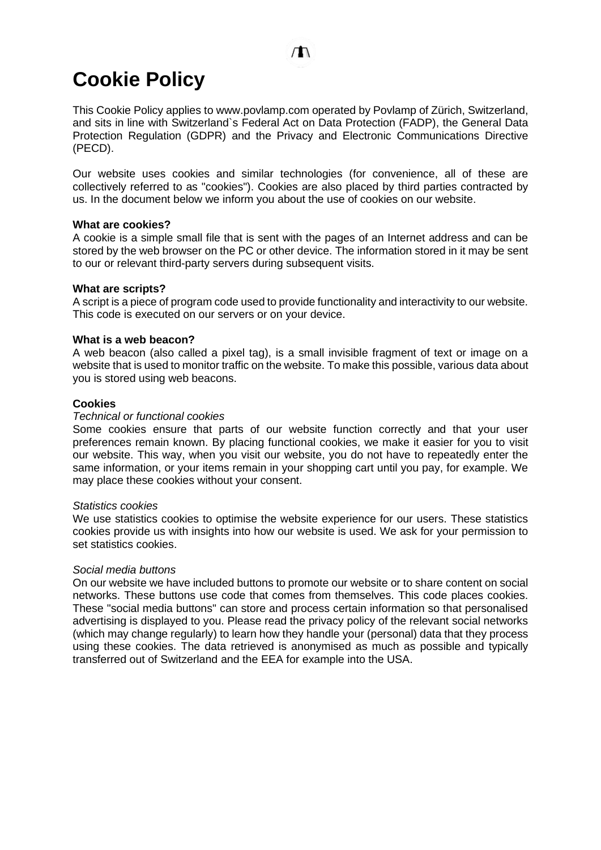# **Cookie Policy**

This Cookie Policy applies to www.povlamp.com operated by Povlamp of Zürich, Switzerland, and sits in line with Switzerland`s Federal Act on Data Protection (FADP), the General Data Protection Regulation (GDPR) and the Privacy and Electronic Communications Directive (PECD).

Our website uses cookies and similar technologies (for convenience, all of these are collectively referred to as "cookies"). Cookies are also placed by third parties contracted by us. In the document below we inform you about the use of cookies on our website.

### **What are cookies?**

A cookie is a simple small file that is sent with the pages of an Internet address and can be stored by the web browser on the PC or other device. The information stored in it may be sent to our or relevant third-party servers during subsequent visits.

### **What are scripts?**

A script is a piece of program code used to provide functionality and interactivity to our website. This code is executed on our servers or on your device.

### **What is a web beacon?**

A web beacon (also called a pixel tag), is a small invisible fragment of text or image on a website that is used to monitor traffic on the website. To make this possible, various data about you is stored using web beacons.

### **Cookies**

### *Technical or functional cookies*

Some cookies ensure that parts of our website function correctly and that your user preferences remain known. By placing functional cookies, we make it easier for you to visit our website. This way, when you visit our website, you do not have to repeatedly enter the same information, or your items remain in your shopping cart until you pay, for example. We may place these cookies without your consent.

### *Statistics cookies*

We use statistics cookies to optimise the website experience for our users. These statistics cookies provide us with insights into how our website is used. We ask for your permission to set statistics cookies.

### *Social media buttons*

On our website we have included buttons to promote our website or to share content on social networks. These buttons use code that comes from themselves. This code places cookies. These "social media buttons" can store and process certain information so that personalised advertising is displayed to you. Please read the privacy policy of the relevant social networks (which may change regularly) to learn how they handle your (personal) data that they process using these cookies. The data retrieved is anonymised as much as possible and typically transferred out of Switzerland and the EEA for example into the USA.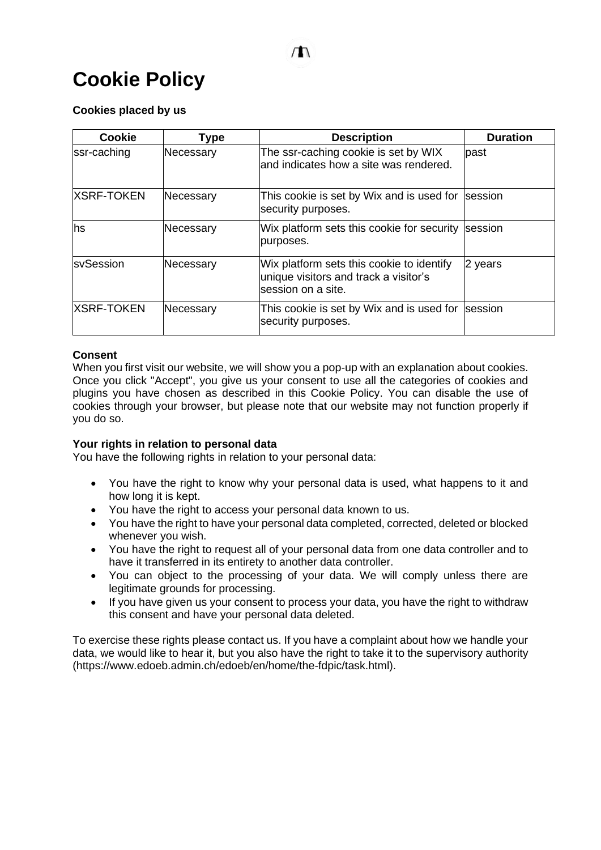# **Cookie Policy**

## **Cookies placed by us**

| <b>Cookie</b>     | <b>Type</b> | <b>Description</b>                                                                                        | <b>Duration</b> |
|-------------------|-------------|-----------------------------------------------------------------------------------------------------------|-----------------|
| ssr-caching       | Necessary   | The ssr-caching cookie is set by WIX<br>land indicates how a site was rendered.                           | lpast           |
| <b>XSRF-TOKEN</b> | Necessary   | This cookie is set by Wix and is used for<br>security purposes.                                           | <b>Isession</b> |
| hs                | Necessary   | Wix platform sets this cookie for security<br>purposes.                                                   | session         |
| <b>sySession</b>  | Necessary   | Wix platform sets this cookie to identify<br>unique visitors and track a visitor's<br>lsession on a site. | 2 years         |
| <b>XSRF-TOKEN</b> | Necessary   | This cookie is set by Wix and is used for<br>security purposes.                                           | session         |

## **Consent**

When you first visit our website, we will show you a pop-up with an explanation about cookies. Once you click "Accept", you give us your consent to use all the categories of cookies and plugins you have chosen as described in this Cookie Policy. You can disable the use of cookies through your browser, but please note that our website may not function properly if you do so.

### **Your rights in relation to personal data**

You have the following rights in relation to your personal data:

- You have the right to know why your personal data is used, what happens to it and how long it is kept.
- You have the right to access your personal data known to us.
- You have the right to have your personal data completed, corrected, deleted or blocked whenever you wish.
- You have the right to request all of your personal data from one data controller and to have it transferred in its entirety to another data controller.
- You can object to the processing of your data. We will comply unless there are legitimate grounds for processing.
- If you have given us your consent to process your data, you have the right to withdraw this consent and have your personal data deleted.

To exercise these rights please contact us. If you have a complaint about how we handle your data, we would like to hear it, but you also have the right to take it to the supervisory authority (https://www.edoeb.admin.ch/edoeb/en/home/the-fdpic/task.html).